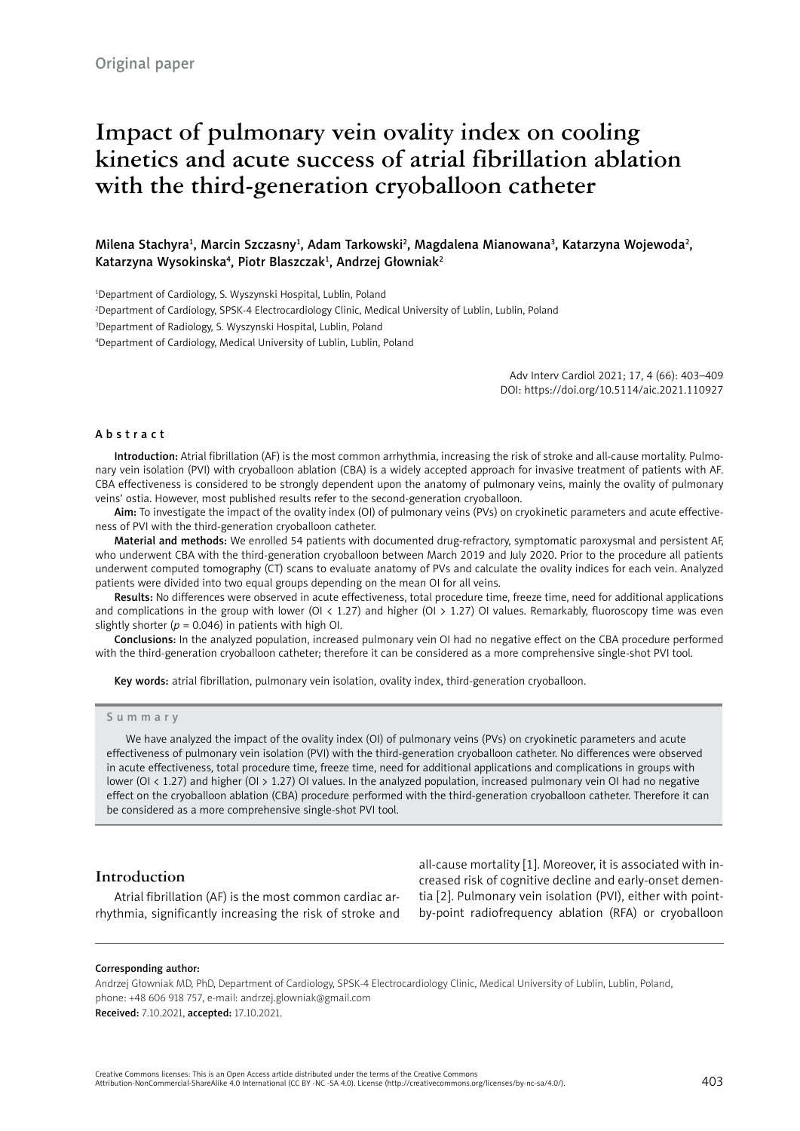# **Impact of pulmonary vein ovality index on cooling kinetics and acute success of atrial fibrillation ablation with the third-generation cryoballoon catheter**

# Milena Stachyra<sup>1</sup>, Marcin Szczasny<sup>1</sup>, Adam Tarkowski<sup>2</sup>, Magdalena Mianowana<sup>3</sup>, Katarzyna Wojewoda<sup>2</sup>, Katarzyna Wysokinska<sup>4</sup>, Piotr Blaszczak<sup>1</sup>, Andrzej Głowniak<sup>2</sup>

1 Department of Cardiology, S. Wyszynski Hospital, Lublin, Poland

2 Department of Cardiology, SPSK-4 Electrocardiology Clinic, Medical University of Lublin, Lublin, Poland

3 Department of Radiology, S. Wyszynski Hospital, Lublin, Poland

4 Department of Cardiology, Medical University of Lublin, Lublin, Poland

Adv Interv Cardiol 2021; 17, 4 (66): 403–409 DOI: https://doi.org/10.5114/aic.2021.110927

#### Abstract

Introduction: Atrial fibrillation (AF) is the most common arrhythmia, increasing the risk of stroke and all-cause mortality. Pulmonary vein isolation (PVI) with cryoballoon ablation (CBA) is a widely accepted approach for invasive treatment of patients with AF. CBA effectiveness is considered to be strongly dependent upon the anatomy of pulmonary veins, mainly the ovality of pulmonary veins' ostia. However, most published results refer to the second-generation cryoballoon.

Aim: To investigate the impact of the ovality index (OI) of pulmonary veins (PVs) on cryokinetic parameters and acute effectiveness of PVI with the third-generation cryoballoon catheter.

Material and methods: We enrolled 54 patients with documented drug-refractory, symptomatic paroxysmal and persistent AF, who underwent CBA with the third-generation cryoballoon between March 2019 and July 2020. Prior to the procedure all patients underwent computed tomography (CT) scans to evaluate anatomy of PVs and calculate the ovality indices for each vein. Analyzed patients were divided into two equal groups depending on the mean OI for all veins.

Results: No differences were observed in acute effectiveness, total procedure time, freeze time, need for additional applications and complications in the group with lower (OI < 1.27) and higher (OI > 1.27) OI values. Remarkably, fluoroscopy time was even slightly shorter ( $p = 0.046$ ) in patients with high OI.

Conclusions: In the analyzed population, increased pulmonary vein OI had no negative effect on the CBA procedure performed with the third-generation cryoballoon catheter; therefore it can be considered as a more comprehensive single-shot PVI tool.

Key words: atrial fibrillation, pulmonary vein isolation, ovality index, third-generation cryoballoon.

#### Summary

We have analyzed the impact of the ovality index (OI) of pulmonary veins (PVs) on cryokinetic parameters and acute effectiveness of pulmonary vein isolation (PVI) with the third-generation cryoballoon catheter. No differences were observed in acute effectiveness, total procedure time, freeze time, need for additional applications and complications in groups with lower (OI < 1.27) and higher (OI > 1.27) OI values. In the analyzed population, increased pulmonary vein OI had no negative effect on the cryoballoon ablation (CBA) procedure performed with the third-generation cryoballoon catheter. Therefore it can be considered as a more comprehensive single-shot PVI tool.

# **Introduction**

Atrial fibrillation (AF) is the most common cardiac arrhythmia, significantly increasing the risk of stroke and all-cause mortality [1]. Moreover, it is associated with increased risk of cognitive decline and early-onset dementia [2]. Pulmonary vein isolation (PVI), either with pointby-point radiofrequency ablation (RFA) or cryoballoon

#### Corresponding author:

Andrzej Głowniak MD, PhD, Department of Cardiology, SPSK-4 Electrocardiology Clinic, Medical University of Lublin, Lublin, Poland, phone: +48 606 918 757, e-mail: [andrzej.glowniak@gmail.com](mailto:andrzej.glowniak@gmail.com) Received: 7.10.2021, accepted: 17.10.2021.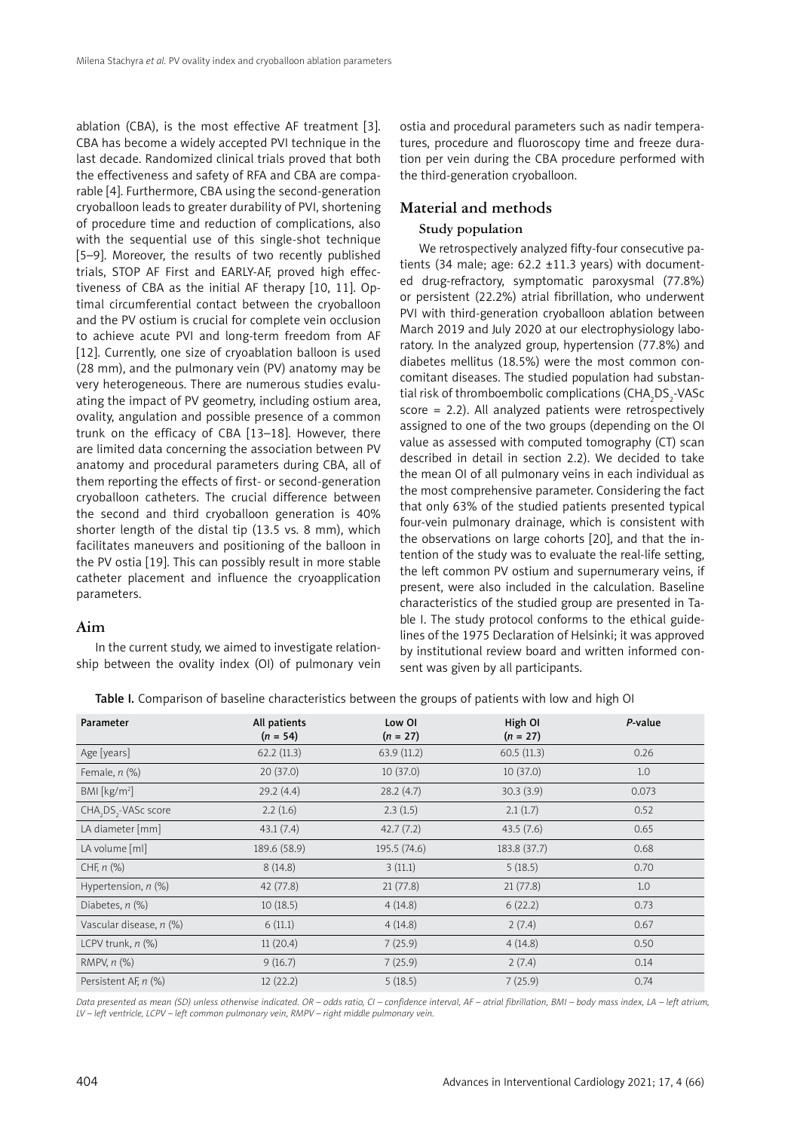ablation (CBA), is the most effective AF treatment [3]. CBA has become a widely accepted PVI technique in the last decade. Randomized clinical trials proved that both the effectiveness and safety of RFA and CBA are comparable [4]. Furthermore, CBA using the second-generation cryoballoon leads to greater durability of PVI, shortening of procedure time and reduction of complications, also with the sequential use of this single-shot technique [5–9]. Moreover, the results of two recently published trials, STOP AF First and EARLY-AF, proved high effectiveness of CBA as the initial AF therapy [10, 11]. Optimal circumferential contact between the cryoballoon and the PV ostium is crucial for complete vein occlusion to achieve acute PVI and long-term freedom from AF [12]. Currently, one size of cryoablation balloon is used (28 mm), and the pulmonary vein (PV) anatomy may be very heterogeneous. There are numerous studies evaluating the impact of PV geometry, including ostium area, ovality, angulation and possible presence of a common trunk on the efficacy of CBA [13–18]. However, there are limited data concerning the association between PV anatomy and procedural parameters during CBA, all of them reporting the effects of first- or second-generation cryoballoon catheters. The crucial difference between the second and third cryoballoon generation is 40% shorter length of the distal tip (13.5 vs. 8 mm), which facilitates maneuvers and positioning of the balloon in the PV ostia [19]. This can possibly result in more stable catheter placement and influence the cryoapplication parameters.

# **Aim**

In the current study, we aimed to investigate relationship between the ovality index (OI) of pulmonary vein ostia and procedural parameters such as nadir temperatures, procedure and fluoroscopy time and freeze duration per vein during the CBA procedure performed with the third-generation cryoballoon.

# **Material and methods**

# **Study population**

We retrospectively analyzed fifty-four consecutive patients (34 male; age:  $62.2 \pm 11.3$  years) with documented drug-refractory, symptomatic paroxysmal (77.8%) or persistent (22.2%) atrial fibrillation, who underwent PVI with third-generation cryoballoon ablation between March 2019 and July 2020 at our electrophysiology laboratory. In the analyzed group, hypertension (77.8%) and diabetes mellitus (18.5%) were the most common concomitant diseases. The studied population had substantial risk of thromboembolic complications (CHA $_{\rm 2}$ DS $_{\rm 2}$ -VASc score = 2.2). All analyzed patients were retrospectively assigned to one of the two groups (depending on the OI value as assessed with computed tomography (CT) scan described in detail in section 2.2). We decided to take the mean OI of all pulmonary veins in each individual as the most comprehensive parameter. Considering the fact that only 63% of the studied patients presented typical four-vein pulmonary drainage, which is consistent with the observations on large cohorts [20], and that the intention of the study was to evaluate the real-life setting, the left common PV ostium and supernumerary veins, if present, were also included in the calculation. Baseline characteristics of the studied group are presented in Table I. The study protocol conforms to the ethical guidelines of the 1975 Declaration of Helsinki; it was approved by institutional review board and written informed consent was given by all participants.

|  |  | Table I. Comparison of baseline characteristics between the groups of patients with low and high OI |  |  |
|--|--|-----------------------------------------------------------------------------------------------------|--|--|
|--|--|-----------------------------------------------------------------------------------------------------|--|--|

| Parameter                    | All patients<br>$(n = 54)$ | Low OI<br>$(n = 27)$ | High OI<br>$(n = 27)$ | P-value |  |
|------------------------------|----------------------------|----------------------|-----------------------|---------|--|
| Age [years]                  | 62.2(11.3)                 | 63.9(11.2)           | 60.5(11.3)            | 0.26    |  |
| Female, $n$ (%)              | 20(37.0)                   | 10(37.0)             | 10(37.0)              | 1.0     |  |
| BM [kg/m <sup>2</sup> ]      | 29.2(4.4)                  | 28.2(4.7)            | 30.3(3.9)<br>0.073    |         |  |
| CHA, DS, - VASc score        | 2.2(1.6)                   | 2.3(1.5)             | 2.1(1.7)<br>0.52      |         |  |
| LA diameter [mm]             | 43.1(7.4)                  | 42.7(7.2)            | 43.5(7.6)             | 0.65    |  |
| LA volume [ml]               | 189.6 (58.9)               | 195.5(74.6)          | 183.8 (37.7)          | 0.68    |  |
| CHF, $n$ $(\%)$              | 8(14.8)                    | 3(11.1)              | 5(18.5)               | 0.70    |  |
| Hypertension, $n$ $(\%)$     | 42(77.8)                   | 21(77.8)             | 21(77.8)              | 1.0     |  |
| Diabetes, $n$ $(\%)$         | 10(18.5)                   | 4(14.8)              | 6(22.2)               | 0.73    |  |
| Vascular disease, n (%)      | 6(11.1)                    | 4(14.8)              | 2(7.4)                | 0.67    |  |
| LCPV trunk, $n$ $(\%)$       | 11(20.4)                   | 7(25.9)              | 4(14.8)               | 0.50    |  |
| RMPV, $n$ $\left(\% \right)$ | 9(16.7)                    | 7(25.9)              | 2(7.4)                | 0.14    |  |
| Persistent AF, n (%)         | 12(22.2)                   | 5(18.5)              | 7(25.9)               | 0.74    |  |

*Data presented as mean (SD) unless otherwise indicated. OR – odds ratio, CI – confidence interval, AF – atrial fibrillation, BMI – body mass index, LA – left atrium, LV – left ventricle, LCPV – left common pulmonary vein, RMPV – right middle pulmonary vein.*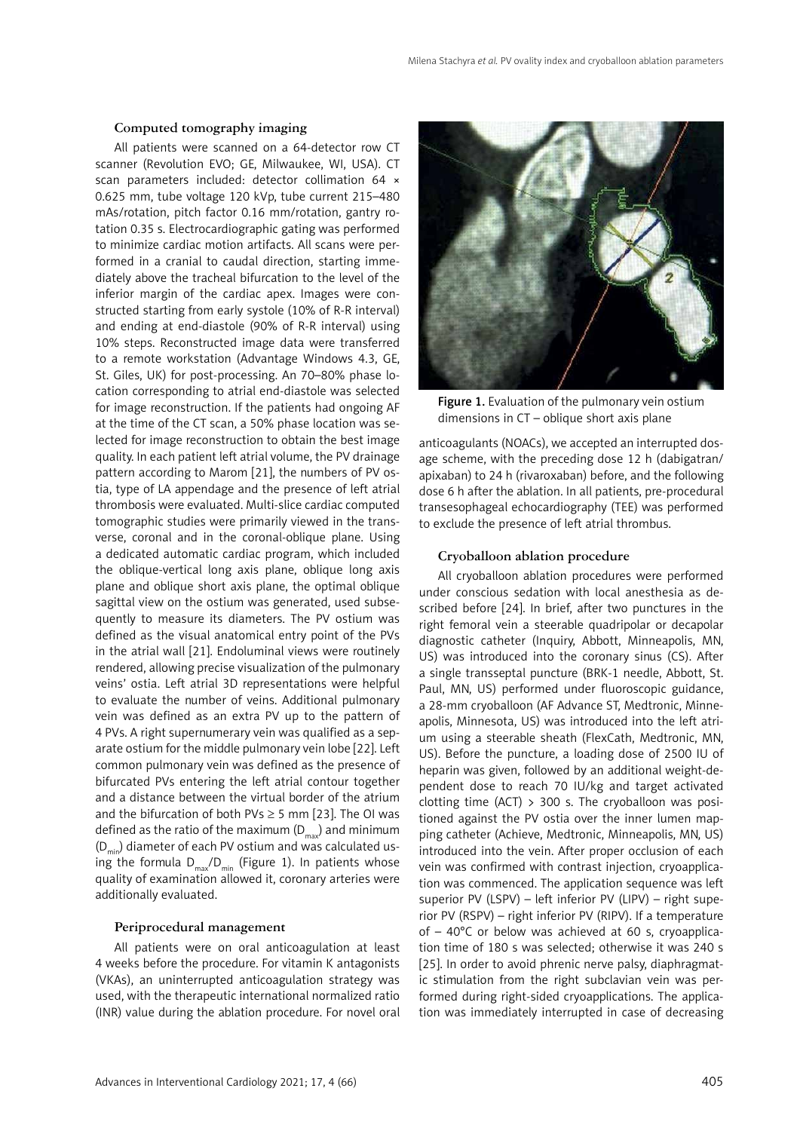## **Computed tomography imaging**

All patients were scanned on a 64-detector row CT scanner (Revolution EVO; GE, Milwaukee, WI, USA). CT scan parameters included: detector collimation 64 × 0.625 mm, tube voltage 120 kVp, tube current 215–480 mAs/rotation, pitch factor 0.16 mm/rotation, gantry rotation 0.35 s. Electrocardiographic gating was performed to minimize cardiac motion artifacts. All scans were performed in a cranial to caudal direction, starting immediately above the tracheal bifurcation to the level of the inferior margin of the cardiac apex. Images were constructed starting from early systole (10% of R-R interval) and ending at end-diastole (90% of R-R interval) using 10% steps. Reconstructed image data were transferred to a remote workstation (Advantage Windows 4.3, GE, St. Giles, UK) for post-processing. An 70–80% phase location corresponding to atrial end-diastole was selected for image reconstruction. If the patients had ongoing AF at the time of the CT scan, a 50% phase location was selected for image reconstruction to obtain the best image quality. In each patient left atrial volume, the PV drainage pattern according to Marom [21], the numbers of PV ostia, type of LA appendage and the presence of left atrial thrombosis were evaluated. Multi-slice cardiac computed tomographic studies were primarily viewed in the transverse, coronal and in the coronal-oblique plane. Using a dedicated automatic cardiac program, which included the oblique-vertical long axis plane, oblique long axis plane and oblique short axis plane, the optimal oblique sagittal view on the ostium was generated, used subsequently to measure its diameters. The PV ostium was defined as the visual anatomical entry point of the PVs in the atrial wall [21]. Endoluminal views were routinely rendered, allowing precise visualization of the pulmonary veins' ostia. Left atrial 3D representations were helpful to evaluate the number of veins. Additional pulmonary vein was defined as an extra PV up to the pattern of 4 PVs. A right supernumerary vein was qualified as a separate ostium for the middle pulmonary vein lobe [22]. Left common pulmonary vein was defined as the presence of bifurcated PVs entering the left atrial contour together and a distance between the virtual border of the atrium and the bifurcation of both PVs  $\geq$  5 mm [23]. The OI was defined as the ratio of the maximum  $(D_{max})$  and minimum  $(D_{\text{min}})$  diameter of each PV ostium and was calculated using the formula  $D_{\text{max}}/D_{\text{min}}$  (Figure 1). In patients whose quality of examination allowed it, coronary arteries were additionally evaluated.

#### **Periprocedural management**

All patients were on oral anticoagulation at least 4 weeks before the procedure. For vitamin K antagonists (VKAs), an uninterrupted anticoagulation strategy was used, with the therapeutic international normalized ratio (INR) value during the ablation procedure. For novel oral



Figure 1. Evaluation of the pulmonary vein ostium dimensions in CT – oblique short axis plane

anticoagulants (NOACs), we accepted an interrupted dosage scheme, with the preceding dose 12 h (dabigatran/ apixaban) to 24 h (rivaroxaban) before, and the following dose 6 h after the ablation. In all patients, pre-procedural transesophageal echocardiography (TEE) was performed to exclude the presence of left atrial thrombus.

#### **Cryoballoon ablation procedure**

All cryoballoon ablation procedures were performed under conscious sedation with local anesthesia as described before [24]. In brief, after two punctures in the right femoral vein a steerable quadripolar or decapolar diagnostic catheter (Inquiry, Abbott, Minneapolis, MN, US) was introduced into the coronary sinus (CS). After a single transseptal puncture (BRK-1 needle, Abbott, St. Paul, MN, US) performed under fluoroscopic guidance, a 28-mm cryoballoon (AF Advance ST, Medtronic, Minneapolis, Minnesota, US) was introduced into the left atrium using a steerable sheath (FlexCath, Medtronic, MN, US). Before the puncture, a loading dose of 2500 IU of heparin was given, followed by an additional weight-dependent dose to reach 70 IU/kg and target activated clotting time (ACT)  $>$  300 s. The cryoballoon was positioned against the PV ostia over the inner lumen mapping catheter (Achieve, Medtronic, Minneapolis, MN, US) introduced into the vein. After proper occlusion of each vein was confirmed with contrast injection, cryoapplication was commenced. The application sequence was left superior PV (LSPV) – left inferior PV (LIPV) – right superior PV (RSPV) – right inferior PV (RIPV). If a temperature of – 40°C or below was achieved at 60 s, cryoapplication time of 180 s was selected; otherwise it was 240 s [25]. In order to avoid phrenic nerve palsy, diaphragmatic stimulation from the right subclavian vein was performed during right-sided cryoapplications. The application was immediately interrupted in case of decreasing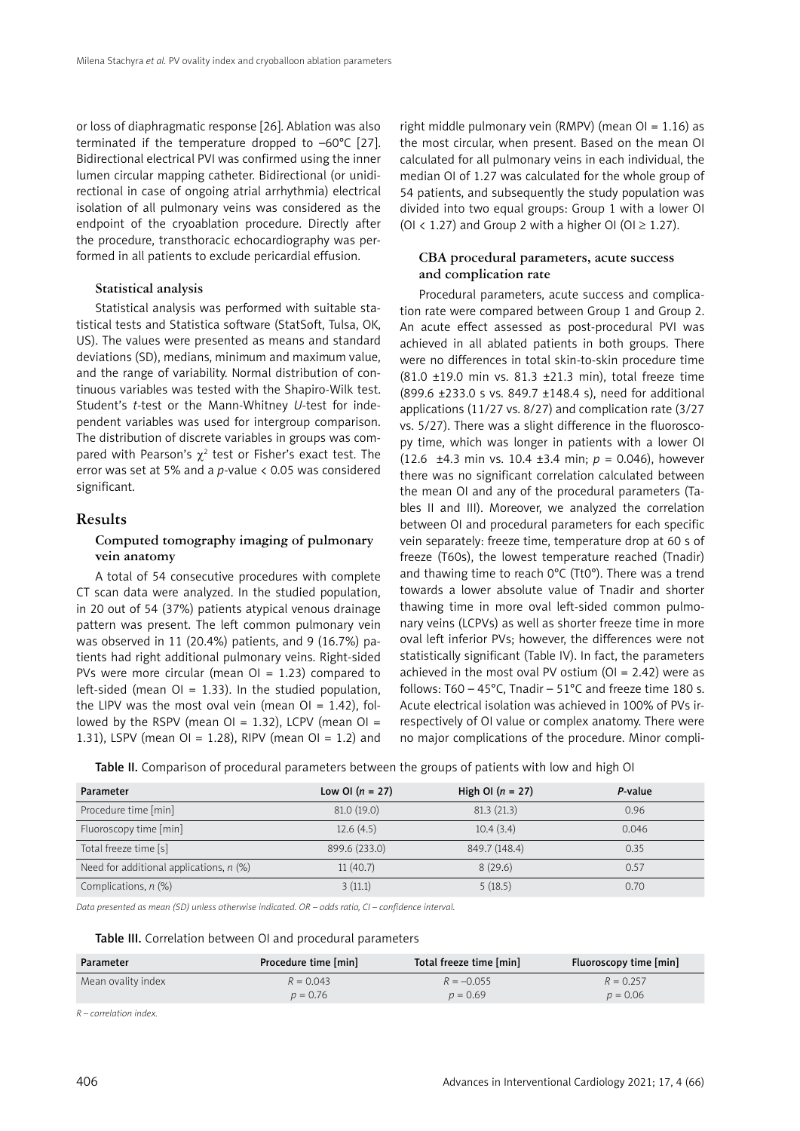or loss of diaphragmatic response [26]. Ablation was also terminated if the temperature dropped to –60°C [27]. Bidirectional electrical PVI was confirmed using the inner lumen circular mapping catheter. Bidirectional (or unidirectional in case of ongoing atrial arrhythmia) electrical isolation of all pulmonary veins was considered as the endpoint of the cryoablation procedure. Directly after the procedure, transthoracic echocardiography was performed in all patients to exclude pericardial effusion.

#### **Statistical analysis**

Statistical analysis was performed with suitable statistical tests and Statistica software (StatSoft, Tulsa, OK, US). The values were presented as means and standard deviations (SD), medians, minimum and maximum value, and the range of variability. Normal distribution of continuous variables was tested with the Shapiro-Wilk test. Student's *t*-test or the Mann-Whitney *U*-test for independent variables was used for intergroup comparison. The distribution of discrete variables in groups was compared with Pearson's  $\chi^2$  test or Fisher's exact test. The error was set at 5% and a *p*-value < 0.05 was considered significant.

### **Results**

# **Computed tomography imaging of pulmonary vein anatomy**

A total of 54 consecutive procedures with complete CT scan data were analyzed. In the studied population, in 20 out of 54 (37%) patients atypical venous drainage pattern was present. The left common pulmonary vein was observed in 11 (20.4%) patients, and 9 (16.7%) patients had right additional pulmonary veins. Right-sided PVs were more circular (mean  $Ol = 1.23$ ) compared to left-sided (mean  $O1 = 1.33$ ). In the studied population, the LIPV was the most oval vein (mean  $Ol = 1.42$ ), followed by the RSPV (mean  $OI = 1.32$ ), LCPV (mean  $OI =$ 1.31), LSPV (mean OI = 1.28), RIPV (mean OI = 1.2) and

right middle pulmonary vein (RMPV) (mean  $Ol = 1.16$ ) as the most circular, when present. Based on the mean OI calculated for all pulmonary veins in each individual, the median OI of 1.27 was calculated for the whole group of 54 patients, and subsequently the study population was divided into two equal groups: Group 1 with a lower OI (OI < 1.27) and Group 2 with a higher OI (OI  $\geq$  1.27).

# **CBA procedural parameters, acute success and complication rate**

Procedural parameters, acute success and complication rate were compared between Group 1 and Group 2. An acute effect assessed as post-procedural PVI was achieved in all ablated patients in both groups. There were no differences in total skin-to-skin procedure time (81.0 ±19.0 min vs. 81.3 ±21.3 min), total freeze time (899.6 ±233.0 s vs. 849.7 ±148.4 s), need for additional applications (11/27 vs. 8/27) and complication rate (3/27 vs. 5/27). There was a slight difference in the fluoroscopy time, which was longer in patients with a lower OI (12.6 ±4.3 min vs. 10.4 ±3.4 min; *p* = 0.046), however there was no significant correlation calculated between the mean OI and any of the procedural parameters (Tables II and III). Moreover, we analyzed the correlation between OI and procedural parameters for each specific vein separately: freeze time, temperature drop at 60 s of freeze (T60s), the lowest temperature reached (Tnadir) and thawing time to reach 0°C (Tt0°). There was a trend towards a lower absolute value of Tnadir and shorter thawing time in more oval left-sided common pulmonary veins (LCPVs) as well as shorter freeze time in more oval left inferior PVs; however, the differences were not statistically significant (Table IV). In fact, the parameters achieved in the most oval PV ostium ( $O = 2.42$ ) were as follows:  $T60 - 45^{\circ}$ C, Tnadir –  $51^{\circ}$ C and freeze time 180 s. Acute electrical isolation was achieved in 100% of PVs irrespectively of OI value or complex anatomy. There were no major complications of the procedure. Minor compli-

Table II. Comparison of procedural parameters between the groups of patients with low and high OI

| Parameter                                 | Low OI $(n = 27)$ | High OI $(n = 27)$ | P-value |
|-------------------------------------------|-------------------|--------------------|---------|
| Procedure time [min]                      | 81.0(19.0)        | 81.3(21.3)         | 0.96    |
| Fluoroscopy time [min]                    | 12.6(4.5)         | 10.4(3.4)          | 0.046   |
| Total freeze time [s]                     | 899.6 (233.0)     | 849.7 (148.4)      | 0.35    |
| Need for additional applications, $n$ (%) | 11(40.7)          | 8(29.6)            | 0.57    |
| Complications, $n$ (%)                    | 3(11.1)           | 5(18.5)            | 0.70    |

*Data presented as mean (SD) unless otherwise indicated. OR – odds ratio, CI – confidence interval.*

#### Table III. Correlation between OI and procedural parameters

| Parameter          | Procedure time [min] | Total freeze time [min] | Fluoroscopy time [min] |
|--------------------|----------------------|-------------------------|------------------------|
| Mean ovality index | $R = 0.043$          | $R = -0.055$            | $R = 0.257$            |
|                    | $p = 0.76$           | $p = 0.69$              | $p = 0.06$             |

*R – correlation index.*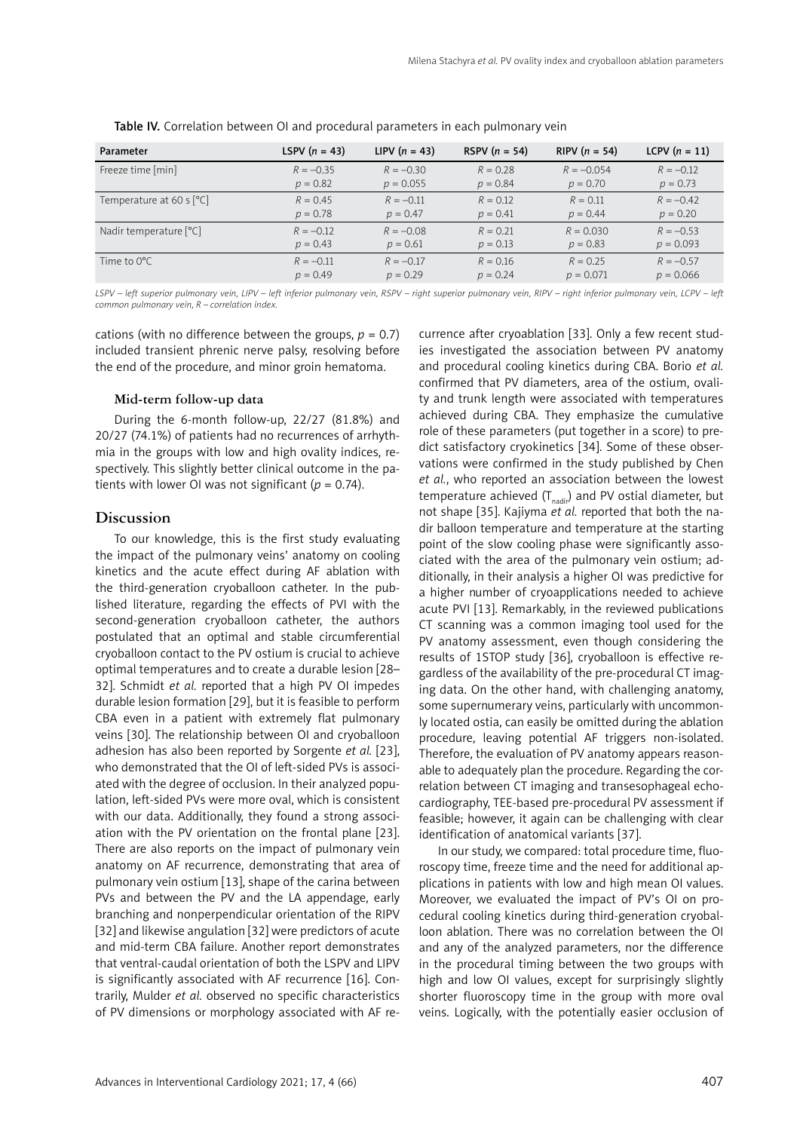| Parameter                  | LSPV $(n = 43)$ | LIPV $(n = 43)$ | RSPV $(n = 54)$ | RIPV $(n = 54)$ | LCPV $(n = 11)$ |
|----------------------------|-----------------|-----------------|-----------------|-----------------|-----------------|
| Freeze time [min]          | $R = -0.35$     | $R = -0.30$     | $R = 0.28$      | $R = -0.054$    | $R = -0.12$     |
|                            | $p = 0.82$      | $p = 0.055$     | $p = 0.84$      | $p = 0.70$      | $p = 0.73$      |
| Temperature at 60 s $[°C]$ | $R = 0.45$      | $R = -0.11$     | $R = 0.12$      | $R = 0.11$      | $R = -0.42$     |
|                            | $p = 0.78$      | $p = 0.47$      | $p = 0.41$      | $p = 0.44$      | $p = 0.20$      |
| Nadir temperature [°C]     | $R = -0.12$     | $R = -0.08$     | $R = 0.21$      | $R = 0.030$     | $R = -0.53$     |
|                            | $p = 0.43$      | $p = 0.61$      | $p = 0.13$      | $p = 0.83$      | $p = 0.093$     |
| Time to $0^{\circ}$ C      | $R = -0.11$     | $R = -0.17$     | $R = 0.16$      | $R = 0.25$      | $R = -0.57$     |
|                            | $p = 0.49$      | $p = 0.29$      | $p = 0.24$      | $p = 0.071$     | $p = 0.066$     |

Table IV. Correlation between OI and procedural parameters in each pulmonary vein

*LSPV – left superior pulmonary vein, LIPV – left inferior pulmonary vein, RSPV – right superior pulmonary vein, RIPV – right inferior pulmonary vein, LCPV – left common pulmonary vein, R – correlation index.*

cations (with no difference between the groups,  $p = 0.7$ ) included transient phrenic nerve palsy, resolving before the end of the procedure, and minor groin hematoma.

#### **Mid-term follow-up data**

During the 6-month follow-up, 22/27 (81.8%) and 20/27 (74.1%) of patients had no recurrences of arrhythmia in the groups with low and high ovality indices, respectively. This slightly better clinical outcome in the patients with lower OI was not significant ( $p = 0.74$ ).

## **Discussion**

To our knowledge, this is the first study evaluating the impact of the pulmonary veins' anatomy on cooling kinetics and the acute effect during AF ablation with the third-generation cryoballoon catheter. In the published literature, regarding the effects of PVI with the second-generation cryoballoon catheter, the authors postulated that an optimal and stable circumferential cryoballoon contact to the PV ostium is crucial to achieve optimal temperatures and to create a durable lesion [28– 32]. Schmidt *et al.* reported that a high PV OI impedes durable lesion formation [29], but it is feasible to perform CBA even in a patient with extremely flat pulmonary veins [30]. The relationship between OI and cryoballoon adhesion has also been reported by Sorgente *et al.* [23], who demonstrated that the OI of left-sided PVs is associated with the degree of occlusion. In their analyzed population, left-sided PVs were more oval, which is consistent with our data. Additionally, they found a strong association with the PV orientation on the frontal plane [23]. There are also reports on the impact of pulmonary vein anatomy on AF recurrence, demonstrating that area of pulmonary vein ostium [13], shape of the carina between PVs and between the PV and the LA appendage, early branching and nonperpendicular orientation of the RIPV [32] and likewise angulation [32] were predictors of acute and mid-term CBA failure. Another report demonstrates that ventral-caudal orientation of both the LSPV and LIPV is significantly associated with AF recurrence [16]. Contrarily, Mulder *et al.* observed no specific characteristics of PV dimensions or morphology associated with AF recurrence after cryoablation [33]. Only a few recent studies investigated the association between PV anatomy and procedural cooling kinetics during CBA. Borio *et al.* confirmed that PV diameters, area of the ostium, ovality and trunk length were associated with temperatures achieved during CBA. They emphasize the cumulative role of these parameters (put together in a score) to predict satisfactory cryokinetics [34]. Some of these observations were confirmed in the study published by Chen *et al.*, who reported an association between the lowest temperature achieved  $(T_{nadi})$  and PV ostial diameter, but not shape [35]. Kajiyma *et al.* reported that both the nadir balloon temperature and temperature at the starting point of the slow cooling phase were significantly associated with the area of the pulmonary vein ostium; additionally, in their analysis a higher OI was predictive for a higher number of cryoapplications needed to achieve acute PVI [13]. Remarkably, in the reviewed publications CT scanning was a common imaging tool used for the PV anatomy assessment, even though considering the results of 1STOP study [36], cryoballoon is effective regardless of the availability of the pre-procedural CT imaging data. On the other hand, with challenging anatomy, some supernumerary veins, particularly with uncommonly located ostia, can easily be omitted during the ablation procedure, leaving potential AF triggers non-isolated. Therefore, the evaluation of PV anatomy appears reasonable to adequately plan the procedure. Regarding the correlation between CT imaging and transesophageal echocardiography, TEE-based pre-procedural PV assessment if feasible; however, it again can be challenging with clear identification of anatomical variants [37].

In our study, we compared: total procedure time, fluoroscopy time, freeze time and the need for additional applications in patients with low and high mean OI values. Moreover, we evaluated the impact of PV's OI on procedural cooling kinetics during third-generation cryoballoon ablation. There was no correlation between the OI and any of the analyzed parameters, nor the difference in the procedural timing between the two groups with high and low OI values, except for surprisingly slightly shorter fluoroscopy time in the group with more oval veins. Logically, with the potentially easier occlusion of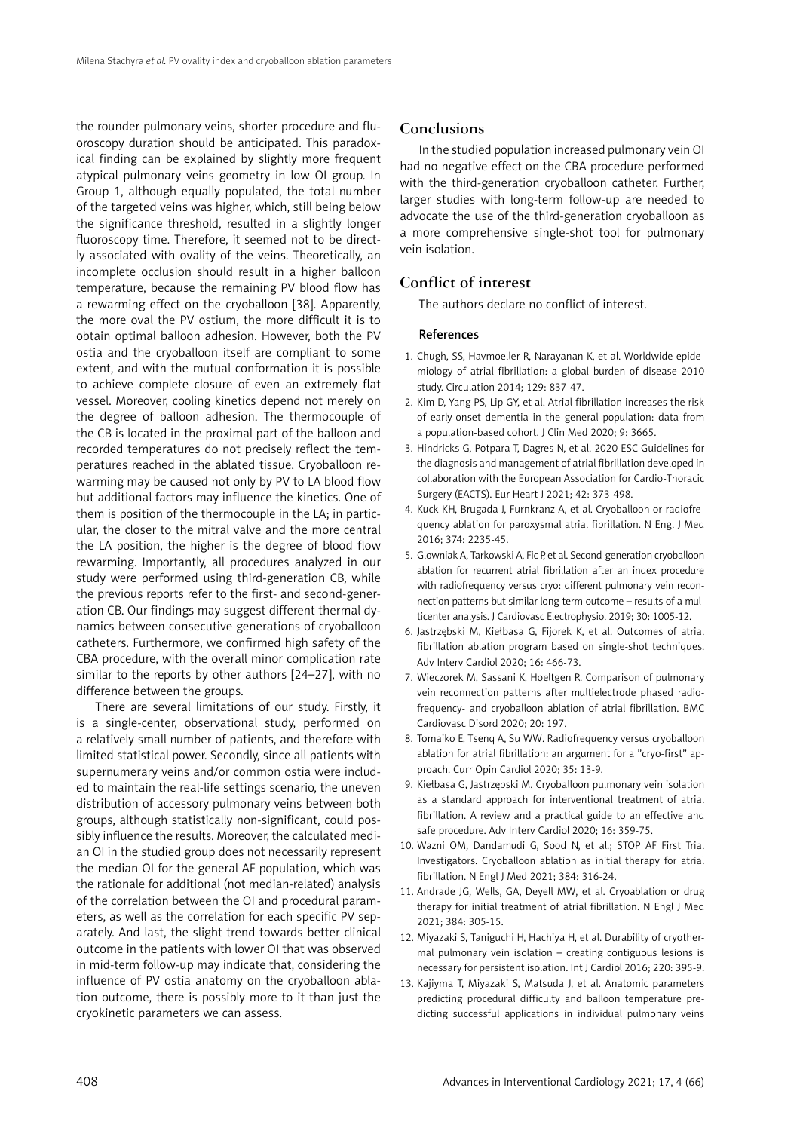the rounder pulmonary veins, shorter procedure and fluoroscopy duration should be anticipated. This paradoxical finding can be explained by slightly more frequent atypical pulmonary veins geometry in low OI group. In Group 1, although equally populated, the total number of the targeted veins was higher, which, still being below the significance threshold, resulted in a slightly longer fluoroscopy time. Therefore, it seemed not to be directly associated with ovality of the veins. Theoretically, an incomplete occlusion should result in a higher balloon temperature, because the remaining PV blood flow has a rewarming effect on the cryoballoon [38]. Apparently, the more oval the PV ostium, the more difficult it is to obtain optimal balloon adhesion. However, both the PV ostia and the cryoballoon itself are compliant to some extent, and with the mutual conformation it is possible to achieve complete closure of even an extremely flat vessel. Moreover, cooling kinetics depend not merely on the degree of balloon adhesion. The thermocouple of the CB is located in the proximal part of the balloon and recorded temperatures do not precisely reflect the temperatures reached in the ablated tissue. Cryoballoon rewarming may be caused not only by PV to LA blood flow but additional factors may influence the kinetics. One of them is position of the thermocouple in the LA; in particular, the closer to the mitral valve and the more central the LA position, the higher is the degree of blood flow rewarming. Importantly, all procedures analyzed in our study were performed using third-generation CB, while the previous reports refer to the first- and second-generation CB. Our findings may suggest different thermal dynamics between consecutive generations of cryoballoon catheters. Furthermore, we confirmed high safety of the CBA procedure, with the overall minor complication rate similar to the reports by other authors [24–27], with no difference between the groups.

There are several limitations of our study. Firstly, it is a single-center, observational study, performed on a relatively small number of patients, and therefore with limited statistical power. Secondly, since all patients with supernumerary veins and/or common ostia were included to maintain the real-life settings scenario, the uneven distribution of accessory pulmonary veins between both groups, although statistically non-significant, could possibly influence the results. Moreover, the calculated median OI in the studied group does not necessarily represent the median OI for the general AF population, which was the rationale for additional (not median-related) analysis of the correlation between the OI and procedural parameters, as well as the correlation for each specific PV separately. And last, the slight trend towards better clinical outcome in the patients with lower OI that was observed in mid-term follow-up may indicate that, considering the influence of PV ostia anatomy on the cryoballoon ablation outcome, there is possibly more to it than just the cryokinetic parameters we can assess.

## **Conclusions**

In the studied population increased pulmonary vein OI had no negative effect on the CBA procedure performed with the third-generation cryoballoon catheter. Further, larger studies with long-term follow-up are needed to advocate the use of the third-generation cryoballoon as a more comprehensive single-shot tool for pulmonary vein isolation.

# **Conflict of interest**

The authors declare no conflict of interest.

#### References

- 1. Chugh, SS, Havmoeller R, Narayanan K, et al. Worldwide epidemiology of atrial fibrillation: a global burden of disease 2010 study. Circulation 2014; 129: 837-47.
- 2. Kim D, Yang PS, Lip GY, et al. Atrial fibrillation increases the risk of early-onset dementia in the general population: data from a population-based cohort. J Clin Med 2020; 9: 3665.
- 3. Hindricks G, Potpara T, Dagres N, et al. 2020 ESC Guidelines for the diagnosis and management of atrial fibrillation developed in collaboration with the European Association for Cardio-Thoracic Surgery (EACTS). Eur Heart J 2021; 42: 373-498.
- 4. Kuck KH, Brugada J, Furnkranz A, et al. Cryoballoon or radiofrequency ablation for paroxysmal atrial fibrillation. N Engl J Med 2016; 374: 2235-45.
- 5. Glowniak A, Tarkowski A, Fic P, et al. Second-generation cryoballoon ablation for recurrent atrial fibrillation after an index procedure with radiofrequency versus cryo: different pulmonary vein reconnection patterns but similar long-term outcome – results of a multicenter analysis. J Cardiovasc Electrophysiol 2019; 30: 1005-12.
- 6. Jastrzębski M, Kiełbasa G, Fijorek K, et al. Outcomes of atrial fibrillation ablation program based on single-shot techniques. Adv Interv Cardiol 2020; 16: 466-73.
- 7. Wieczorek M, Sassani K, Hoeltgen R. Comparison of pulmonary vein reconnection patterns after multielectrode phased radiofrequency- and cryoballoon ablation of atrial fibrillation. BMC Cardiovasc Disord 2020; 20: 197.
- 8. Tomaiko E, Tsenq A, Su WW. Radiofrequency versus cryoballoon ablation for atrial fibrillation: an argument for a "cryo-first" approach. Curr Opin Cardiol 2020; 35: 13-9.
- 9. Kiełbasa G, Jastrzębski M. Cryoballoon pulmonary vein isolation as a standard approach for interventional treatment of atrial fibrillation. A review and a practical guide to an effective and safe procedure. Adv Interv Cardiol 2020; 16: 359-75.
- 10. Wazni OM, Dandamudi G, Sood N, et al.; STOP AF First Trial Investigators. Cryoballoon ablation as initial therapy for atrial fibrillation. N Engl J Med 2021; 384: 316-24.
- 11. Andrade JG, Wells, GA, Deyell MW, et al. Cryoablation or drug therapy for initial treatment of atrial fibrillation. N Engl J Med 2021; 384: 305-15.
- 12. Miyazaki S, Taniguchi H, Hachiya H, et al. Durability of cryothermal pulmonary vein isolation – creating contiguous lesions is necessary for persistent isolation. Int J Cardiol 2016; 220: 395-9.
- 13. Kajiyma T, Miyazaki S, Matsuda J, et al. Anatomic parameters predicting procedural difficulty and balloon temperature predicting successful applications in individual pulmonary veins